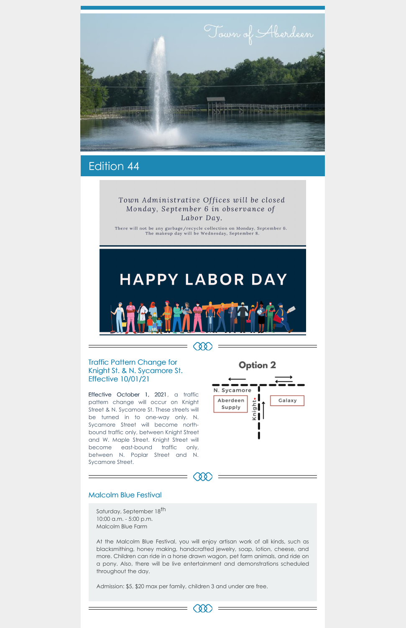

# Edition 44

## Town Administrative Offices will be closed Monday, September 6 in observance of Labor Day.

There will not be any garbage/recycle collection on Monday, September 6.<br>The makeup day will be Wednesday, September 8.

# **HAPPY LABOR DAY**



 $\infty$ 

### Traffic Pattern Change for Knight St. & N. Sycamore St. Effective 10/01/21

Effective October 1, 2021, a traffic pattern change will occur on Knight Street & N. Sycamore St. These streets will be turned in to one-way only. N. Sycamore Street will become northbound traffic only, between Knight Street and W. Maple Street. Knight Street will become east-bound traffic only, between N. Poplar Street and N.



Saturday, September 18<sup>th</sup> 10:00 a.m. - 5:00 p.m. Malcolm Blue Farm

Sycamore Street.

#### Malcolm Blue Festival

At the Malcolm Blue Festival, you will enjoy artisan work of all kinds, such as blacksmithing, honey making, handcrafted jewelry, soap, lotion, cheese, and more. Children can ride in a horse drawn wagon, pet farm animals, and ride on a pony. Also, there will be live entertainment and demonstrations scheduled throughout the day.

Admission: \$5, \$20 max per family, children 3 and under are free.